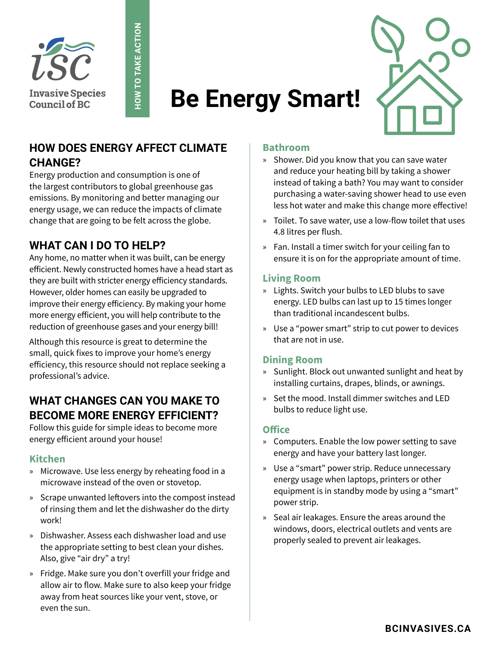



# **HOW DOES ENERGY AFFECT CLIMATE CHANGE?**

**HOW TO TAKE ACTION**

**HOW TO TAKE ACTION** 

Energy production and consumption is one of the largest contributors to global greenhouse gas emissions. By monitoring and better managing our energy usage, we can reduce the impacts of climate change that are going to be felt across the globe.

# **WHAT CAN I DO TO HELP?**

Any home, no matter when it was built, can be energy efficient. Newly constructed homes have a head start as they are built with stricter energy efficiency standards. However, older homes can easily be upgraded to improve their energy efficiency. By making your home more energy efficient, you will help contribute to the reduction of greenhouse gases and your energy bill!

Although this resource is great to determine the small, quick fixes to improve your home's energy efficiency, this resource should not replace seeking a professional's advice.

# **WHAT CHANGES CAN YOU MAKE TO BECOME MORE ENERGY EFFICIENT?**

Follow this guide for simple ideas to become more energy efficient around your house!

### **Kitchen**

- » Microwave. Use less energy by reheating food in a microwave instead of the oven or stovetop.
- » Scrape unwanted leftovers into the compost instead of rinsing them and let the dishwasher do the dirty work!
- » Dishwasher. Assess each dishwasher load and use the appropriate setting to best clean your dishes. Also, give "air dry" a try!
- » Fridge. Make sure you don't overfill your fridge and allow air to flow. Make sure to also keep your fridge away from heat sources like your vent, stove, or even the sun.

### **Bathroom**

**Be Energy Smart!**

- » Shower. Did you know that you can save water and reduce your heating bill by taking a shower instead of taking a bath? You may want to consider purchasing a water-saving shower head to use even less hot water and make this change more effective!
- » Toilet. To save water, use a low-flow toilet that uses 4.8 litres per flush.
- » Fan. Install a timer switch for your ceiling fan to ensure it is on for the appropriate amount of time.

### **Living Room**

- » Lights. Switch your bulbs to LED blubs to save energy. LED bulbs can last up to 15 times longer than traditional incandescent bulbs.
- » Use a "power smart" strip to cut power to devices that are not in use.

#### **Dining Room**

- » Sunlight. Block out unwanted sunlight and heat by installing curtains, drapes, blinds, or awnings.
- » Set the mood. Install dimmer switches and LED bulbs to reduce light use.

#### **Office**

- » Computers. Enable the low power setting to save energy and have your battery last longer.
- » Use a "smart" power strip. Reduce unnecessary energy usage when laptops, printers or other equipment is in standby mode by using a "smart" power strip.
- » Seal air leakages. Ensure the areas around the windows, doors, electrical outlets and vents are properly sealed to prevent air leakages.